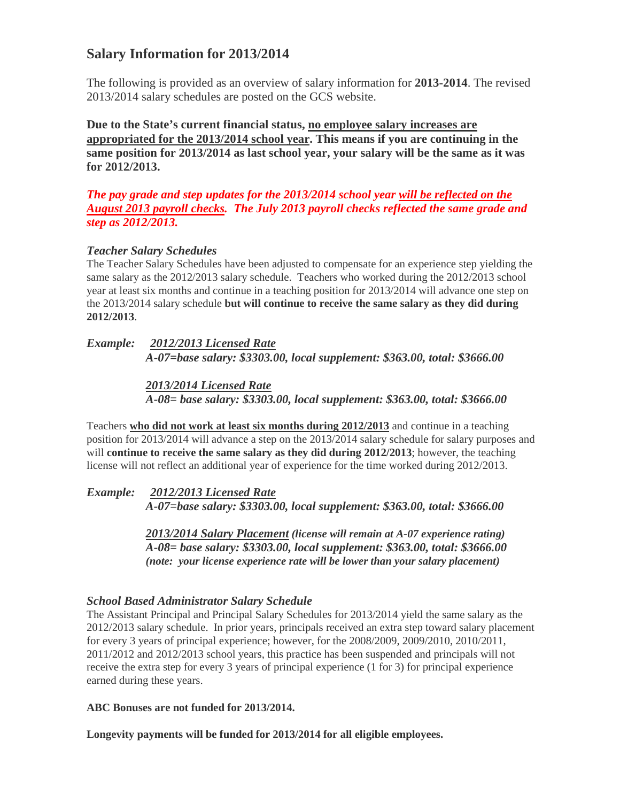# **Salary Information for 2013/2014**

The following is provided as an overview of salary information for **2013-2014**. The revised 2013/2014 salary schedules are posted on the GCS website.

**Due to the State's current financial status, no employee salary increases are appropriated for the 2013/2014 school year. This means if you are continuing in the same position for 2013/2014 as last school year, your salary will be the same as it was for 2012/2013.**

*The pay grade and step updates for the 2013/2014 school year will be reflected on the August 2013 payroll checks. The July 2013 payroll checks reflected the same grade and step as 2012/2013.* 

### *Teacher Salary Schedules*

The Teacher Salary Schedules have been adjusted to compensate for an experience step yielding the same salary as the 2012/2013 salary schedule. Teachers who worked during the 2012/2013 school year at least six months and continue in a teaching position for 2013/2014 will advance one step on the 2013/2014 salary schedule **but will continue to receive the same salary as they did during 2012/2013**.

## *Example: 2012/2013 Licensed Rate A-07=base salary: \$3303.00, local supplement: \$363.00, total: \$3666.00*

*2013/2014 Licensed Rate A-08= base salary: \$3303.00, local supplement: \$363.00, total: \$3666.00*

Teachers **who did not work at least six months during 2012/2013** and continue in a teaching position for 2013/2014 will advance a step on the 2013/2014 salary schedule for salary purposes and will **continue to receive the same salary as they did during 2012/2013**; however, the teaching license will not reflect an additional year of experience for the time worked during 2012/2013.

*Example: 2012/2013 Licensed Rate A-07=base salary: \$3303.00, local supplement: \$363.00, total: \$3666.00*

> *2013/2014 Salary Placement (license will remain at A-07 experience rating) A-08= base salary: \$3303.00, local supplement: \$363.00, total: \$3666.00 (note: your license experience rate will be lower than your salary placement)*

### *School Based Administrator Salary Schedule*

The Assistant Principal and Principal Salary Schedules for 2013/2014 yield the same salary as the 2012/2013 salary schedule. In prior years, principals received an extra step toward salary placement for every 3 years of principal experience; however, for the 2008/2009, 2009/2010, 2010/2011, 2011/2012 and 2012/2013 school years, this practice has been suspended and principals will not receive the extra step for every 3 years of principal experience (1 for 3) for principal experience earned during these years.

#### **ABC Bonuses are not funded for 2013/2014.**

**Longevity payments will be funded for 2013/2014 for all eligible employees.**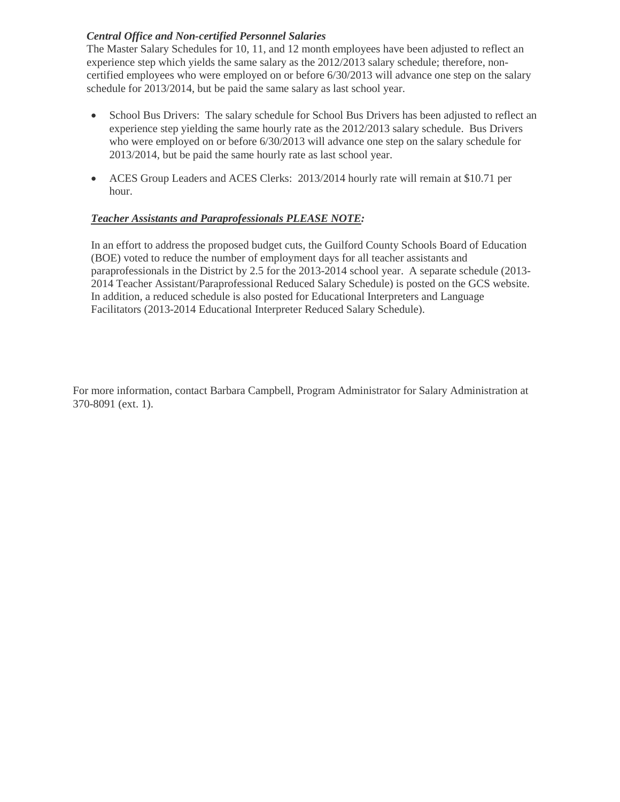### *Central Office and Non-certified Personnel Salaries*

The Master Salary Schedules for 10, 11, and 12 month employees have been adjusted to reflect an experience step which yields the same salary as the 2012/2013 salary schedule; therefore, noncertified employees who were employed on or before 6/30/2013 will advance one step on the salary schedule for 2013/2014, but be paid the same salary as last school year.

- School Bus Drivers: The salary schedule for School Bus Drivers has been adjusted to reflect an experience step yielding the same hourly rate as the 2012/2013 salary schedule. Bus Drivers who were employed on or before 6/30/2013 will advance one step on the salary schedule for 2013/2014, but be paid the same hourly rate as last school year.
- ACES Group Leaders and ACES Clerks: 2013/2014 hourly rate will remain at \$10.71 per hour.

### *Teacher Assistants and Paraprofessionals PLEASE NOTE:*

In an effort to address the proposed budget cuts, the Guilford County Schools Board of Education (BOE) voted to reduce the number of employment days for all teacher assistants and paraprofessionals in the District by 2.5 for the 2013-2014 school year. A separate schedule (2013- 2014 Teacher Assistant/Paraprofessional Reduced Salary Schedule) is posted on the GCS website. In addition, a reduced schedule is also posted for Educational Interpreters and Language Facilitators (2013-2014 Educational Interpreter Reduced Salary Schedule).

For more information, contact Barbara Campbell, Program Administrator for Salary Administration at 370-8091 (ext. 1).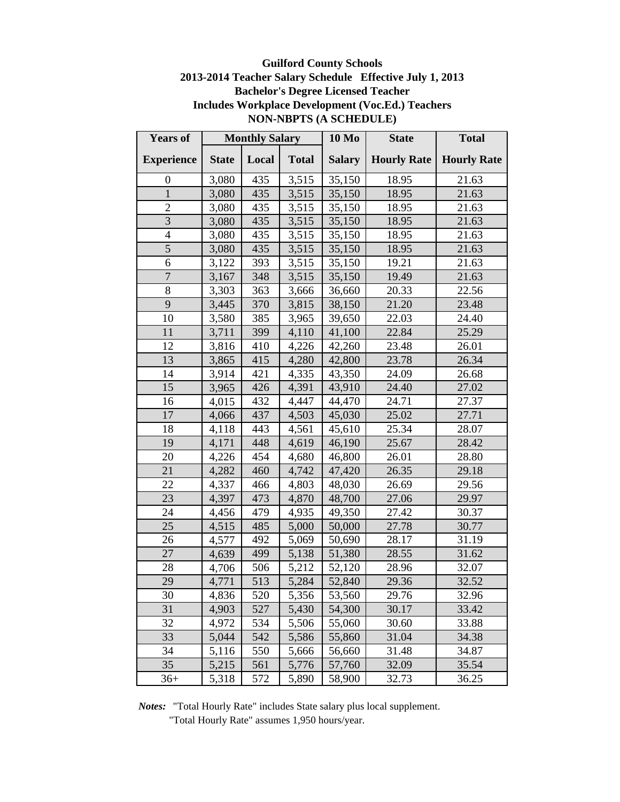# **Guilford County Schools 2013-2014 Teacher Salary Schedule Effective July 1, 2013 Bachelor's Degree Licensed Teacher Includes Workplace Development (Voc.Ed.) Teachers NON-NBPTS (A SCHEDULE)**

| <b>Years of</b>         |              | <b>Monthly Salary</b> |              | 10 Mo         | <b>State</b>       | <b>Total</b>       |
|-------------------------|--------------|-----------------------|--------------|---------------|--------------------|--------------------|
| <b>Experience</b>       | <b>State</b> | Local                 | <b>Total</b> | <b>Salary</b> | <b>Hourly Rate</b> | <b>Hourly Rate</b> |
| $\boldsymbol{0}$        | 3,080        | 435                   | 3,515        | 35,150        | 18.95              | 21.63              |
| $\mathbf 1$             | 3,080        | 435                   | 3,515        | 35,150        | 18.95              | 21.63              |
| $\overline{2}$          | 3,080        | 435                   | 3,515        | 35,150        | 18.95              | 21.63              |
| $\overline{3}$          | 3,080        | 435                   | 3,515        | 35,150        | 18.95              | 21.63              |
| $\overline{\mathbf{4}}$ | 3,080        | 435                   | 3,515        | 35,150        | 18.95              | 21.63              |
| 5                       | 3,080        | 435                   | 3,515        | 35,150        | 18.95              | 21.63              |
| 6                       | 3,122        | 393                   | 3,515        | 35,150        | 19.21              | 21.63              |
| $\overline{7}$          | 3,167        | 348                   | 3,515        | 35,150        | 19.49              | 21.63              |
| $8\,$                   | 3,303        | 363                   | 3,666        | 36,660        | 20.33              | 22.56              |
| 9                       | 3,445        | 370                   | 3,815        | 38,150        | 21.20              | 23.48              |
| 10                      | 3,580        | 385                   | 3,965        | 39,650        | 22.03              | 24.40              |
| 11                      | 3,711        | 399                   | 4,110        | 41,100        | 22.84              | 25.29              |
| 12                      | 3,816        | 410                   | 4,226        | 42,260        | 23.48              | 26.01              |
| 13                      | 3,865        | 415                   | 4,280        | 42,800        | 23.78              | 26.34              |
| 14                      | 3,914        | 421                   | 4,335        | 43,350        | 24.09              | 26.68              |
| 15                      | 3,965        | 426                   | 4,391        | 43,910        | 24.40              | 27.02              |
| 16                      | 4,015        | 432                   | 4,447        | 44,470        | 24.71              | 27.37              |
| 17                      | 4,066        | 437                   | 4,503        | 45,030        | 25.02              | 27.71              |
| 18                      | 4,118        | 443                   | 4,561        | 45,610        | 25.34              | 28.07              |
| 19                      | 4,171        | 448                   | 4,619        | 46,190        | 25.67              | 28.42              |
| 20                      | 4,226        | 454                   | 4,680        | 46,800        | 26.01              | 28.80              |
| 21                      | 4,282        | 460                   | 4,742        | 47,420        | 26.35              | 29.18              |
| 22                      | 4,337        | 466                   | 4,803        | 48,030        | 26.69              | 29.56              |
| 23                      | 4,397        | 473                   | 4,870        | 48,700        | 27.06              | 29.97              |
| 24                      | 4,456        | 479                   | 4,935        | 49,350        | 27.42              | 30.37              |
| 25                      | 4,515        | 485                   | 5,000        | 50,000        | 27.78              | 30.77              |
| 26                      | 4,577        | 492                   | 5,069        | 50,690        | 28.17              | 31.19              |
| 27                      | 4,639        | 499                   | 5,138        | 51,380        | 28.55              | 31.62              |
| 28                      | 4,706        | 506                   | 5,212        | 52,120        | 28.96              | 32.07              |
| 29                      | 4,771        | 513                   | 5,284        | 52,840        | 29.36              | 32.52              |
| 30                      | 4,836        | 520                   | 5,356        | 53,560        | 29.76              | 32.96              |
| 31                      | 4,903        | 527                   | 5,430        | 54,300        | 30.17              | 33.42              |
| 32                      | 4,972        | 534                   | 5,506        | 55,060        | 30.60              | 33.88              |
| 33                      | 5,044        | 542                   | 5,586        | 55,860        | 31.04              | 34.38              |
| 34                      | 5,116        | 550                   | 5,666        | 56,660        | 31.48              | 34.87              |
| 35                      | 5,215        | 561                   | 5,776        | 57,760        | 32.09              | 35.54              |
| $36+$                   | 5,318        | 572                   | 5,890        | 58,900        | 32.73              | 36.25              |

*Notes:* "Total Hourly Rate" includes State salary plus local supplement.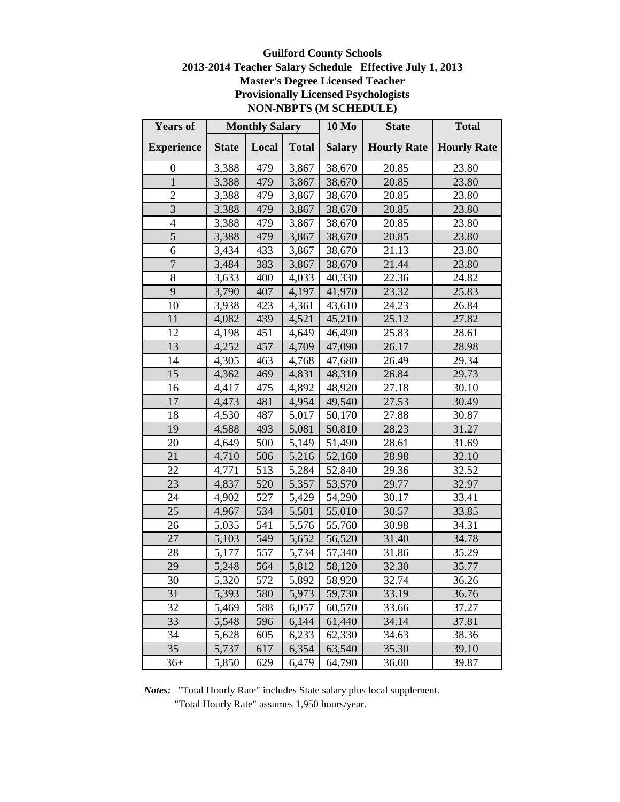# **Guilford County Schools 2013-2014 Teacher Salary Schedule Effective July 1, 2013 Master's Degree Licensed Teacher Provisionally Licensed Psychologists NON-NBPTS (M SCHEDULE)**

| <b>Years of</b>   |              | <b>Monthly Salary</b> |              | <b>10 Mo</b>  | <b>State</b>       | <b>Total</b>       |
|-------------------|--------------|-----------------------|--------------|---------------|--------------------|--------------------|
| <b>Experience</b> | <b>State</b> | Local                 | <b>Total</b> | <b>Salary</b> | <b>Hourly Rate</b> | <b>Hourly Rate</b> |
| 0                 | 3,388        | 479                   | 3,867        | 38,670        | 20.85              | 23.80              |
| $\mathbf{1}$      | 3,388        | 479                   | 3,867        | 38,670        | 20.85              | 23.80              |
| $\overline{2}$    | 3,388        | 479                   | 3,867        | 38,670        | 20.85              | 23.80              |
| 3                 | 3,388        | 479                   | 3,867        | 38,670        | 20.85              | 23.80              |
| $\overline{4}$    | 3,388        | 479                   | 3,867        | 38,670        | 20.85              | 23.80              |
| 5                 | 3,388        | 479                   | 3,867        | 38,670        | 20.85              | 23.80              |
| 6                 | 3,434        | 433                   | 3,867        | 38,670        | 21.13              | 23.80              |
| $\sqrt{ }$        | 3,484        | 383                   | 3,867        | 38,670        | 21.44              | 23.80              |
| 8                 | 3,633        | 400                   | 4,033        | 40,330        | 22.36              | 24.82              |
| 9                 | 3,790        | 407                   | 4,197        | 41,970        | 23.32              | 25.83              |
| 10                | 3,938        | 423                   | 4,361        | 43,610        | 24.23              | 26.84              |
| 11                | 4,082        | 439                   | 4,521        | 45,210        | 25.12              | 27.82              |
| 12                | 4,198        | 451                   | 4,649        | 46,490        | 25.83              | 28.61              |
| 13                | 4,252        | 457                   | 4,709        | 47,090        | 26.17              | 28.98              |
| 14                | 4,305        | 463                   | 4,768        | 47,680        | 26.49              | 29.34              |
| 15                | 4,362        | 469                   | 4,831        | 48,310        | 26.84              | 29.73              |
| 16                | 4,417        | 475                   | 4,892        | 48,920        | 27.18              | 30.10              |
| 17                | 4,473        | 481                   | 4,954        | 49,540        | 27.53              | 30.49              |
| 18                | 4,530        | 487                   | 5,017        | 50,170        | 27.88              | 30.87              |
| 19                | 4,588        | 493                   | 5,081        | 50,810        | 28.23              | 31.27              |
| 20                | 4,649        | 500                   | 5,149        | 51,490        | 28.61              | 31.69              |
| 21                | 4,710        | 506                   | 5,216        | 52,160        | 28.98              | 32.10              |
| 22                | 4,771        | 513                   | 5,284        | 52,840        | 29.36              | 32.52              |
| 23                | 4,837        | 520                   | 5,357        | 53,570        | 29.77              | 32.97              |
| 24                | 4,902        | 527                   | 5,429        | 54,290        | 30.17              | 33.41              |
| 25                | 4,967        | 534                   | 5,501        | 55,010        | 30.57              | 33.85              |
| 26                | 5,035        | 541                   | 5,576        | 55,760        | 30.98              | 34.31              |
| 27                | 5,103        | 549                   | 5,652        | 56,520        | 31.40              | 34.78              |
| 28                | 5,177        | 557                   | 5,734        | 57,340        | 31.86              | 35.29              |
| 29                | 5,248        | 564                   | 5,812        | 58,120        | 32.30              | 35.77              |
| 30                | 5,320        | 572                   | 5,892        | 58,920        | 32.74              | 36.26              |
| 31                | 5,393        | 580                   | 5,973        | 59,730        | 33.19              | 36.76              |
| 32                | 5,469        | 588                   | 6,057        | 60,570        | 33.66              | 37.27              |
| 33                | 5,548        | 596                   | 6,144        | 61,440        | 34.14              | 37.81              |
| 34                | 5,628        | 605                   | 6,233        | 62,330        | 34.63              | 38.36              |
| 35                | 5,737        | 617                   | 6,354        | 63,540        | 35.30              | 39.10              |
| $36+$             | 5,850        | 629                   | 6,479        | 64,790        | 36.00              | 39.87              |

*Notes:* "Total Hourly Rate" includes State salary plus local supplement.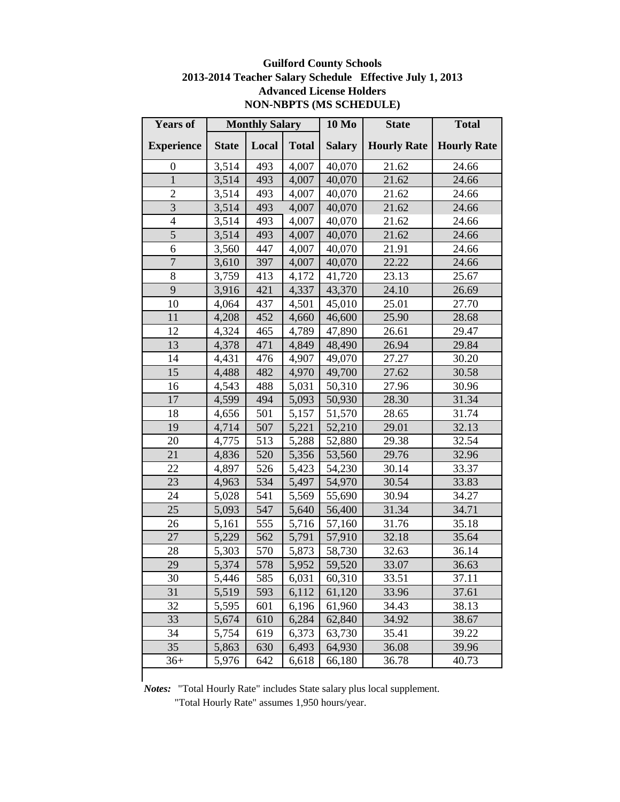## **Guilford County Schools 2013-2014 Teacher Salary Schedule Effective July 1, 2013 Advanced License Holders NON-NBPTS (MS SCHEDULE)**

| <b>Years of</b>   |              | <b>Monthly Salary</b> |              | <b>10 Mo</b>  | <b>State</b>       | <b>Total</b>       |
|-------------------|--------------|-----------------------|--------------|---------------|--------------------|--------------------|
| <b>Experience</b> | <b>State</b> | Local                 | <b>Total</b> | <b>Salary</b> | <b>Hourly Rate</b> | <b>Hourly Rate</b> |
| $\boldsymbol{0}$  | 3,514        | 493                   | 4,007        | 40,070        | 21.62              | 24.66              |
| $\mathbf{1}$      | 3,514        | 493                   | 4,007        | 40,070        | 21.62              | 24.66              |
| $\overline{2}$    | 3,514        | 493                   | 4,007        | 40,070        | 21.62              | 24.66              |
| 3                 | 3,514        | 493                   | 4,007        | 40,070        | 21.62              | 24.66              |
| $\overline{4}$    | 3,514        | 493                   | 4,007        | 40,070        | 21.62              | 24.66              |
| 5                 | 3,514        | 493                   | 4,007        | 40,070        | 21.62              | 24.66              |
| 6                 | 3,560        | 447                   | 4,007        | 40,070        | 21.91              | 24.66              |
| $\overline{7}$    | 3,610        | 397                   | 4,007        | 40,070        | 22.22              | 24.66              |
| 8                 | 3,759        | 413                   | 4,172        | 41,720        | 23.13              | 25.67              |
| 9                 | 3,916        | 421                   | 4,337        | 43,370        | 24.10              | 26.69              |
| 10                | 4,064        | 437                   | 4,501        | 45,010        | 25.01              | 27.70              |
| 11                | 4,208        | 452                   | 4,660        | 46,600        | 25.90              | 28.68              |
| 12                | 4,324        | 465                   | 4,789        | 47,890        | 26.61              | 29.47              |
| 13                | 4,378        | 471                   | 4,849        | 48,490        | 26.94              | 29.84              |
| 14                | 4,431        | 476                   | 4,907        | 49,070        | 27.27              | 30.20              |
| 15                | 4,488        | 482                   | 4,970        | 49,700        | 27.62              | 30.58              |
| 16                | 4,543        | 488                   | 5,031        | 50,310        | 27.96              | 30.96              |
| 17                | 4,599        | 494                   | 5,093        | 50,930        | 28.30              | 31.34              |
| 18                | 4,656        | 501                   | 5,157        | 51,570        | 28.65              | 31.74              |
| 19                | 4,714        | 507                   | 5,221        | 52,210        | 29.01              | 32.13              |
| 20                | 4,775        | 513                   | 5,288        | 52,880        | 29.38              | 32.54              |
| 21                | 4,836        | 520                   | 5,356        | 53,560        | 29.76              | 32.96              |
| 22                | 4,897        | 526                   | 5,423        | 54,230        | 30.14              | 33.37              |
| 23                | 4,963        | 534                   | 5,497        | 54,970        | 30.54              | 33.83              |
| 24                | 5,028        | 541                   | 5,569        | 55,690        | 30.94              | 34.27              |
| 25                | 5,093        | 547                   | 5,640        | 56,400        | 31.34              | 34.71              |
| 26                | 5,161        | 555                   | 5,716        | 57,160        | 31.76              | 35.18              |
| 27                | 5,229        | 562                   | 5,791        | 57,910        | 32.18              | 35.64              |
| 28                | 5,303        | 570                   | 5,873        | 58,730        | 32.63              | 36.14              |
| 29                | 5,374        | 578                   | 5,952        | 59,520        | 33.07              | 36.63              |
| 30                | 5,446        | 585                   | 6,031        | 60,310        | 33.51              | 37.11              |
| 31                | 5,519        | 593                   | 6,112        | 61,120        | 33.96              | 37.61              |
| 32                | 5,595        | 601                   | 6,196        | 61,960        | 34.43              | 38.13              |
| 33                | 5,674        | 610                   | 6,284        | 62,840        | 34.92              | 38.67              |
| 34                | 5,754        | 619                   | 6,373        | 63,730        | 35.41              | 39.22              |
| 35                | 5,863        | 630                   | 6,493        | 64,930        | 36.08              | 39.96              |
| $36+$             | 5,976        | 642                   | 6,618        | 66,180        | 36.78              | 40.73              |
|                   |              |                       |              |               |                    |                    |

*Notes:* "Total Hourly Rate" includes State salary plus local supplement.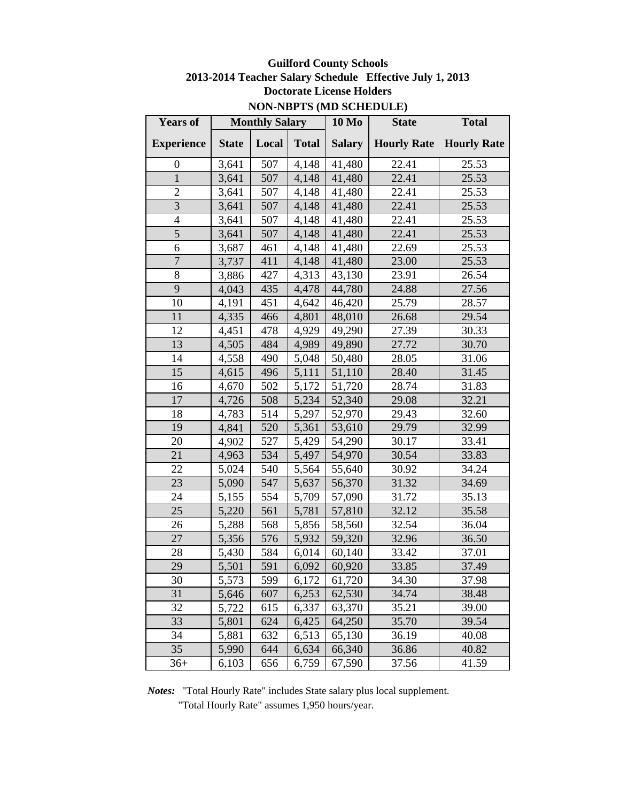# **Guilford County Schools 2013-2014 Teacher Salary Schedule Effective July 1, 2013 Doctorate License Holders NON-NBPTS (MD SCHEDULE)**

| <b>Years of</b>   |              | <b>Monthly Salary</b> |              | <b>10 Mo</b>  | <b>State</b> | <b>Total</b>                   |
|-------------------|--------------|-----------------------|--------------|---------------|--------------|--------------------------------|
| <b>Experience</b> | <b>State</b> | Local                 | <b>Total</b> | <b>Salary</b> |              | <b>Hourly Rate</b> Hourly Rate |
| $\boldsymbol{0}$  | 3,641        | 507                   | 4,148        | 41,480        | 22.41        | 25.53                          |
| $\mathbf{1}$      | 3,641        | 507                   | 4,148        | 41,480        | 22.41        | 25.53                          |
| $\overline{2}$    | 3,641        | 507                   | 4,148        | 41,480        | 22.41        | 25.53                          |
| $\overline{3}$    | 3,641        | 507                   | 4,148        | 41,480        | 22.41        | 25.53                          |
| $\overline{4}$    | 3,641        | 507                   | 4,148        | 41,480        | 22.41        | 25.53                          |
| $\overline{5}$    | 3,641        | 507                   | 4,148        | 41,480        | 22.41        | 25.53                          |
| 6                 | 3,687        | 461                   | 4,148        | 41,480        | 22.69        | 25.53                          |
| $\overline{7}$    | 3,737        | 411                   | 4,148        | 41,480        | 23.00        | 25.53                          |
| 8                 | 3,886        | 427                   | 4,313        | 43,130        | 23.91        | 26.54                          |
| 9                 | 4,043        | 435                   | 4,478        | 44,780        | 24.88        | 27.56                          |
| 10                | 4,191        | 451                   | 4,642        | 46,420        | 25.79        | 28.57                          |
| 11                | 4,335        | 466                   | 4,801        | 48,010        | 26.68        | 29.54                          |
| 12                | 4,451        | 478                   | 4,929        | 49,290        | 27.39        | 30.33                          |
| 13                | 4,505        | 484                   | 4,989        | 49,890        | 27.72        | 30.70                          |
| 14                | 4,558        | 490                   | 5,048        | 50,480        | 28.05        | 31.06                          |
| 15                | 4,615        | 496                   | 5,111        | 51,110        | 28.40        | 31.45                          |
| 16                | 4,670        | 502                   | 5,172        | 51,720        | 28.74        | 31.83                          |
| 17                | 4,726        | 508                   | 5,234        | 52,340        | 29.08        | 32.21                          |
| 18                | 4,783        | 514                   | 5,297        | 52,970        | 29.43        | 32.60                          |
| 19                | 4,841        | 520                   | 5,361        | 53,610        | 29.79        | 32.99                          |
| 20                | 4,902        | 527                   | 5,429        | 54,290        | 30.17        | 33.41                          |
| 21                | 4,963        | 534                   | 5,497        | 54,970        | 30.54        | 33.83                          |
| 22                | 5,024        | 540                   | 5,564        | 55,640        | 30.92        | 34.24                          |
| 23                | 5,090        | 547                   | 5,637        | 56,370        | 31.32        | 34.69                          |
| 24                | 5,155        | 554                   | 5,709        | 57,090        | 31.72        | 35.13                          |
| 25                | 5,220        | 561                   | 5,781        | 57,810        | 32.12        | 35.58                          |
| 26                | 5,288        | 568                   | 5,856        | 58,560        | 32.54        | 36.04                          |
| 27                | 5,356        | 576                   | 5,932        | 59,320        | 32.96        | 36.50                          |
| 28                | 5,430        | 584                   | 6,014        | 60,140        | 33.42        | 37.01                          |
| 29                | 5,501        | 591                   | 6,092        | 60,920        | 33.85        | 37.49                          |
| 30                | 5,573        | 599                   | 6,172        | 61,720        | 34.30        | 37.98                          |
| 31                | 5,646        | 607                   | 6,253        | 62,530        | 34.74        | 38.48                          |
| 32                | 5,722        | 615                   | 6,337        | 63,370        | 35.21        | 39.00                          |
| 33                | 5,801        | 624                   | 6,425        | 64,250        | 35.70        | 39.54                          |
| 34                | 5,881        | 632                   | 6,513        | 65,130        | 36.19        | 40.08                          |
| 35                | 5,990        | 644                   | 6,634        | 66,340        | 36.86        | 40.82                          |
| $36+$             | 6,103        | 656                   | 6,759        | 67,590        | 37.56        | 41.59                          |

*Notes:* "Total Hourly Rate" includes State salary plus local supplement.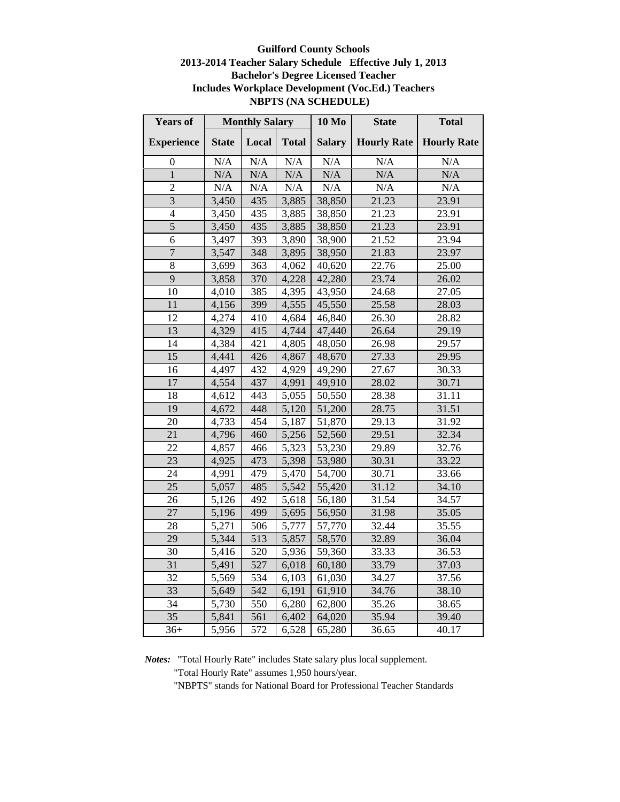### **Guilford County Schools 2013-2014 Teacher Salary Schedule Effective July 1, 2013 Bachelor's Degree Licensed Teacher Includes Workplace Development (Voc.Ed.) Teachers NBPTS (NA SCHEDULE)**

| <b>Years of</b>   |                  | <b>Monthly Salary</b> |                    | <b>10 Mo</b>  | <b>State</b>       | <b>Total</b>       |
|-------------------|------------------|-----------------------|--------------------|---------------|--------------------|--------------------|
| <b>Experience</b> | <b>State</b>     | Local                 | <b>Total</b>       | <b>Salary</b> | <b>Hourly Rate</b> | <b>Hourly Rate</b> |
| 0                 | N/A              | N/A                   | N/A                | N/A           | N/A                | N/A                |
| $\overline{1}$    | N/A              | N/A                   | N/A                | N/A           | N/A                | N/A                |
| $\overline{2}$    | $\overline{N}/A$ | $\overline{N}/A$      | N/A                | $\rm N/A$     | N/A                | N/A                |
| 3                 | 3,450            | 435                   | 3,885              | 38,850        | 21.23              | 23.91              |
| 4                 | 3,450            | 435                   | 3,885              | 38,850        | 21.23              | 23.91              |
| $\overline{5}$    | 3,450            | 435                   | 3,885              | 38,850        | 21.23              | 23.91              |
| 6                 | 3,497            | 393                   | 3,890              | 38,900        | 21.52              | 23.94              |
| $\overline{7}$    | 3,547            | 348                   | 3,895              | 38,950        | 21.83              | 23.97              |
| 8                 | 3,699            | 363                   | 4,062              | 40,620        | 22.76              | 25.00              |
| 9                 | 3,858            | 370                   | 4,228              | 42,280        | 23.74              | 26.02              |
| 10                | 4,010            | 385                   | $\overline{4,395}$ | 43,950        | 24.68              | 27.05              |
| 11                | 4,156            | 399                   | 4,555              | 45,550        | 25.58              | 28.03              |
| 12                | 4,274            | 410                   | 4,684              | 46,840        | 26.30              | 28.82              |
| $\overline{13}$   | 4,329            | 415                   | 4,744              | 47,440        | 26.64              | 29.19              |
| 14                | 4,384            | 421                   | 4,805              | 48,050        | 26.98              | 29.57              |
| 15                | 4,441            | 426                   | 4,867              | 48,670        | 27.33              | 29.95              |
| 16                | 4,497            | 432                   | 4,929              | 49,290        | 27.67              | 30.33              |
| 17                | 4,554            | 437                   | 4,991              | 49,910        | 28.02              | 30.71              |
| 18                | 4,612            | 443                   | 5,055              | 50,550        | 28.38              | 31.11              |
| 19                | 4,672            | 448                   | 5,120              | 51,200        | 28.75              | $31.\overline{51}$ |
| 20                | 4,733            | 454                   | 5,187              | 51,870        | 29.13              | 31.92              |
| $\overline{21}$   | 4,796            | 460                   | 5,256              | 52,560        | 29.51              | 32.34              |
| 22                | 4,857            | 466                   | 5,323              | 53,230        | 29.89              | 32.76              |
| 23                | 4,925            | 473                   | 5,398              | 53,980        | 30.31              | 33.22              |
| 24                | 4,991            | 479                   | 5,470              | 54,700        | 30.71              | 33.66              |
| 25                | 5,057            | 485                   | 5,542              | 55,420        | 31.12              | 34.10              |
| 26                | 5,126            | 492                   | 5,618              | 56,180        | 31.54              | 34.57              |
| 27                | 5,196            | 499                   | 5,695              | 56,950        | 31.98              | 35.05              |
| 28                | 5,271            | 506                   | 5,777              | 57,770        | 32.44              | 35.55              |
| 29                | 5,344            | 513                   | 5,857              | 58,570        | 32.89              | 36.04              |
| 30                | 5,416            | 520                   | 5,936              | 59,360        | 33.33              | 36.53              |
| 31                | 5,491            | 527                   | 6,018              | 60,180        | 33.79              | 37.03              |
| 32                | 5,569            | 534                   | 6,103              | 61,030        | 34.27              | 37.56              |
| 33                | 5,649            | 542                   | 6,191              | 61,910        | 34.76              | 38.10              |
| 34                | 5,730            | 550                   | 6,280              | 62,800        | 35.26              | 38.65              |
| $\overline{35}$   | 5,841            | 561                   | 6,402              | 64,020        | 35.94              | 39.40              |
| $36+$             | 5,956            | 572                   | 6,528              | 65,280        | 36.65              | 40.17              |

*Notes:* "Total Hourly Rate" includes State salary plus local supplement.

"Total Hourly Rate" assumes 1,950 hours/year.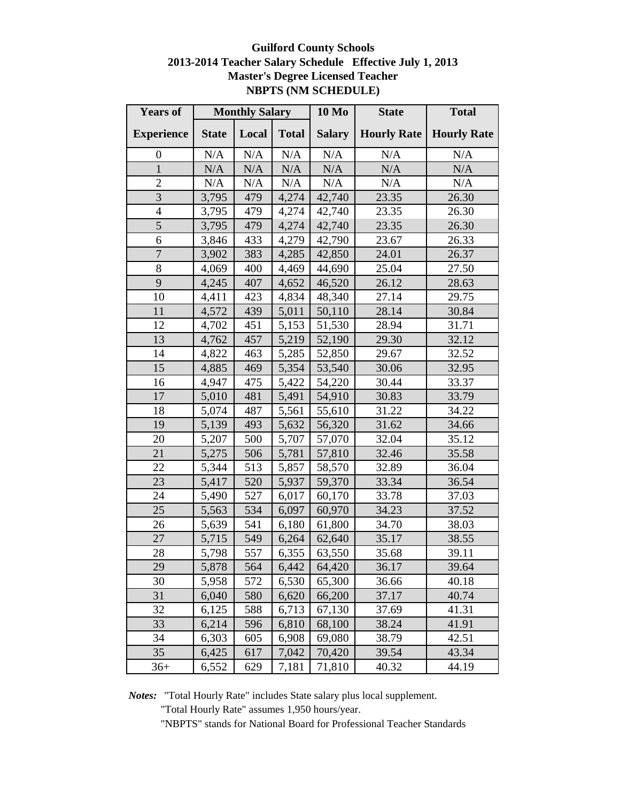# **Guilford County Schools 2013-2014 Teacher Salary Schedule Effective July 1, 2013 Master's Degree Licensed Teacher NBPTS (NM SCHEDULE)**

| <b>Years of</b>          |              | <b>Monthly Salary</b> |              | <b>10 Mo</b>  | <b>State</b>       | <b>Total</b>       |
|--------------------------|--------------|-----------------------|--------------|---------------|--------------------|--------------------|
| <b>Experience</b>        | <b>State</b> | Local                 | <b>Total</b> | <b>Salary</b> | <b>Hourly Rate</b> | <b>Hourly Rate</b> |
| $\boldsymbol{0}$         | $\rm N/A$    | N/A                   | N/A          | N/A           | N/A                | N/A                |
| $\mathbf{1}$             | N/A          | N/A                   | N/A          | N/A           | N/A                | N/A                |
| $\overline{c}$           | $\rm N/A$    | N/A                   | N/A          | N/A           | N/A                | N/A                |
| 3                        | 3,795        | 479                   | 4,274        | 42,740        | 23.35              | 26.30              |
| $\overline{\mathcal{A}}$ | 3,795        | 479                   | 4,274        | 42,740        | 23.35              | 26.30              |
| 5                        | 3,795        | 479                   | 4,274        | 42,740        | 23.35              | 26.30              |
| 6                        | 3,846        | 433                   | 4,279        | 42,790        | 23.67              | 26.33              |
| 7                        | 3,902        | 383                   | 4,285        | 42,850        | 24.01              | 26.37              |
| 8                        | 4,069        | 400                   | 4,469        | 44,690        | 25.04              | 27.50              |
| 9                        | 4,245        | 407                   | 4,652        | 46,520        | 26.12              | 28.63              |
| 10                       | 4,411        | 423                   | 4,834        | 48,340        | 27.14              | 29.75              |
| 11                       | 4,572        | 439                   | 5,011        | 50,110        | 28.14              | 30.84              |
| 12                       | 4,702        | 451                   | 5,153        | 51,530        | 28.94              | 31.71              |
| 13                       | 4,762        | 457                   | 5,219        | 52,190        | 29.30              | 32.12              |
| 14                       | 4,822        | 463                   | 5,285        | 52,850        | 29.67              | 32.52              |
| 15                       | 4,885        | 469                   | 5,354        | 53,540        | 30.06              | 32.95              |
| 16                       | 4,947        | 475                   | 5,422        | 54,220        | 30.44              | 33.37              |
| 17                       | 5,010        | 481                   | 5,491        | 54,910        | 30.83              | 33.79              |
| 18                       | 5,074        | 487                   | 5,561        | 55,610        | 31.22              | 34.22              |
| 19                       | 5,139        | 493                   | 5,632        | 56,320        | 31.62              | 34.66              |
| 20                       | 5,207        | 500                   | 5,707        | 57,070        | 32.04              | 35.12              |
| 21                       | 5,275        | 506                   | 5,781        | 57,810        | 32.46              | 35.58              |
| 22                       | 5,344        | 513                   | 5,857        | 58,570        | 32.89              | 36.04              |
| 23                       | 5,417        | 520                   | 5,937        | 59,370        | 33.34              | 36.54              |
| 24                       | 5,490        | 527                   | 6,017        | 60,170        | 33.78              | 37.03              |
| 25                       | 5,563        | 534                   | 6,097        | 60,970        | 34.23              | 37.52              |
| 26                       | 5,639        | 541                   | 6,180        | 61,800        | 34.70              | 38.03              |
| 27                       | 5,715        | 549                   | 6,264        | 62,640        | 35.17              | 38.55              |
| 28                       | 5,798        | 557                   | 6,355        | 63,550        | 35.68              | 39.11              |
| 29                       | 5,878        | 564                   | 6,442        | 64,420        | 36.17              | 39.64              |
| 30                       | 5,958        | 572                   | 6,530        | 65,300        | 36.66              | 40.18              |
| 31                       | 6,040        | 580                   | 6,620        | 66,200        | 37.17              | 40.74              |
| 32                       | 6,125        | 588                   | 6,713        | 67,130        | 37.69              | 41.31              |
| 33                       | 6,214        | 596                   | 6,810        | 68,100        | 38.24              | 41.91              |
| 34                       | 6,303        | 605                   | 6,908        | 69,080        | 38.79              | 42.51              |
| 35                       | 6,425        | 617                   | 7,042        | 70,420        | 39.54              | 43.34              |
| $36+$                    | 6,552        | 629                   | 7,181        | 71,810        | 40.32              | 44.19              |

*Notes:* "Total Hourly Rate" includes State salary plus local supplement.

"Total Hourly Rate" assumes 1,950 hours/year.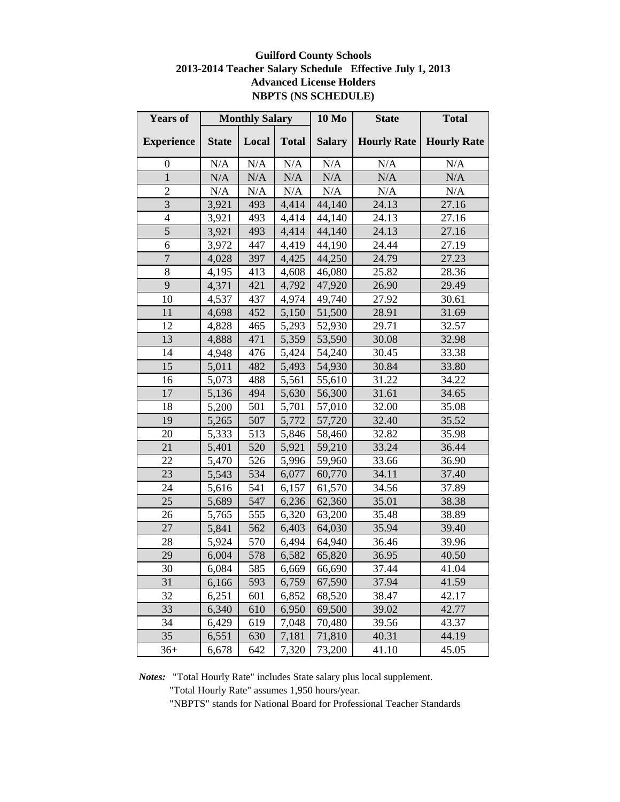### **Guilford County Schools 2013-2014 Teacher Salary Schedule Effective July 1, 2013 Advanced License Holders NBPTS (NS SCHEDULE)**

| <b>Years of</b>          |              | <b>Monthly Salary</b> |              | 10 Mo         | <b>State</b>       | <b>Total</b>       |
|--------------------------|--------------|-----------------------|--------------|---------------|--------------------|--------------------|
| <b>Experience</b>        | <b>State</b> | Local                 | <b>Total</b> | <b>Salary</b> | <b>Hourly Rate</b> | <b>Hourly Rate</b> |
| $\boldsymbol{0}$         | N/A          | $\rm N/A$             | $\rm N/A$    | N/A           | N/A                | N/A                |
| $\mathbf{1}$             | N/A          | N/A                   | $\rm N/A$    | N/A           | N/A                | N/A                |
| $\overline{2}$           | N/A          | N/A                   | N/A          | N/A           | N/A                | N/A                |
| $\overline{3}$           | 3,921        | 493                   | 4,414        | 44,140        | 24.13              | 27.16              |
| $\overline{\mathcal{L}}$ | 3,921        | 493                   | 4,414        | 44,140        | 24.13              | 27.16              |
| 5                        | 3,921        | 493                   | 4,414        | 44,140        | 24.13              | 27.16              |
| 6                        | 3,972        | 447                   | 4,419        | 44,190        | 24.44              | 27.19              |
| $\overline{7}$           | 4,028        | 397                   | 4,425        | 44,250        | 24.79              | 27.23              |
| 8                        | 4,195        | 413                   | 4,608        | 46,080        | 25.82              | 28.36              |
| 9                        | 4,371        | 421                   | 4,792        | 47,920        | 26.90              | 29.49              |
| 10                       | 4,537        | 437                   | 4,974        | 49,740        | 27.92              | 30.61              |
| 11                       | 4,698        | 452                   | 5,150        | 51,500        | 28.91              | 31.69              |
| 12                       | 4,828        | 465                   | 5,293        | 52,930        | 29.71              | 32.57              |
| 13                       | 4,888        | 471                   | 5,359        | 53,590        | 30.08              | 32.98              |
| 14                       | 4,948        | 476                   | 5,424        | 54,240        | 30.45              | 33.38              |
| 15                       | 5,011        | 482                   | 5,493        | 54,930        | 30.84              | 33.80              |
| 16                       | 5,073        | 488                   | 5,561        | 55,610        | 31.22              | 34.22              |
| 17                       | 5,136        | 494                   | 5,630        | 56,300        | 31.61              | 34.65              |
| 18                       | 5,200        | 501                   | 5,701        | 57,010        | 32.00              | 35.08              |
| 19                       | 5,265        | 507                   | 5,772        | 57,720        | 32.40              | 35.52              |
| 20                       | 5,333        | 513                   | 5,846        | 58,460        | 32.82              | 35.98              |
| 21                       | 5,401        | 520                   | 5,921        | 59,210        | 33.24              | 36.44              |
| 22                       | 5,470        | 526                   | 5,996        | 59,960        | 33.66              | 36.90              |
| 23                       | 5,543        | 534                   | 6,077        | 60,770        | 34.11              | 37.40              |
| 24                       | 5,616        | 541                   | 6,157        | 61,570        | 34.56              | 37.89              |
| 25                       | 5,689        | 547                   | 6,236        | 62,360        | 35.01              | 38.38              |
| 26                       | 5,765        | 555                   | 6,320        | 63,200        | 35.48              | 38.89              |
| 27                       | 5,841        | 562                   | 6,403        | 64,030        | 35.94              | 39.40              |
| 28                       | 5,924        | 570                   | 6,494        | 64,940        | 36.46              | 39.96              |
| 29                       | 6,004        | 578                   | 6,582        | 65,820        | 36.95              | 40.50              |
| 30                       | 6,084        | 585                   | 6,669        | 66,690        | 37.44              | 41.04              |
| 31                       | 6,166        | 593                   | 6,759        | 67,590        | 37.94              | 41.59              |
| 32                       | 6,251        | 601                   | 6,852        | 68,520        | 38.47              | 42.17              |
| 33                       | 6,340        | 610                   | 6,950        | 69,500        | 39.02              | 42.77              |
| 34                       | 6,429        | 619                   | 7,048        | 70,480        | 39.56              | 43.37              |
| 35                       | 6,551        | 630                   | 7,181        | 71,810        | 40.31              | 44.19              |
| $36+$                    | 6,678        | 642                   | 7,320        | 73,200        | 41.10              | 45.05              |

*Notes:* "Total Hourly Rate" includes State salary plus local supplement.

"Total Hourly Rate" assumes 1,950 hours/year.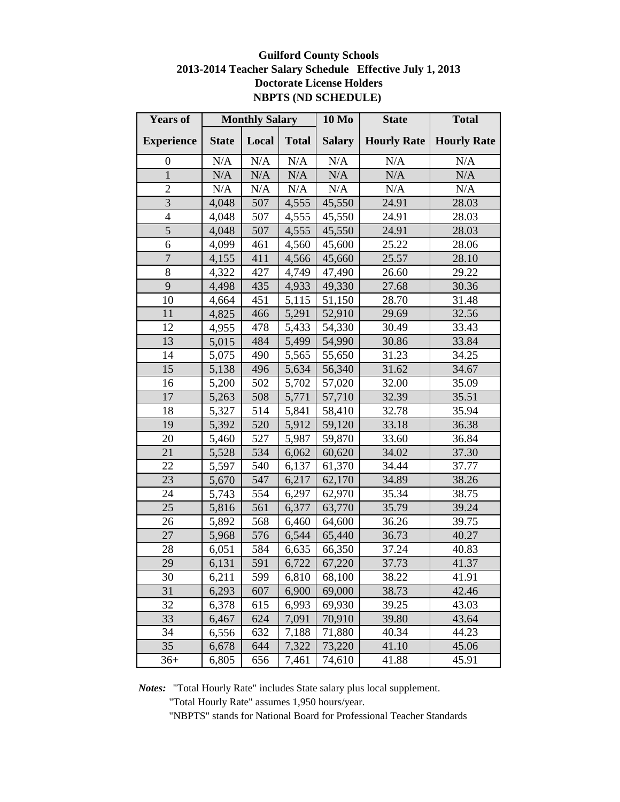## **Guilford County Schools 2013-2014 Teacher Salary Schedule Effective July 1, 2013 Doctorate License Holders NBPTS (ND SCHEDULE)**

| <b>Years of</b>   | <b>Monthly Salary</b> |           | <b>10 Mo</b> | <b>State</b>  | <b>Total</b>       |                    |
|-------------------|-----------------------|-----------|--------------|---------------|--------------------|--------------------|
| <b>Experience</b> | <b>State</b>          | Local     | <b>Total</b> | <b>Salary</b> | <b>Hourly Rate</b> | <b>Hourly Rate</b> |
| $\boldsymbol{0}$  | N/A                   | $\rm N/A$ | $\rm N/A$    | N/A           | N/A                | N/A                |
| $\mathbf{1}$      | N/A                   | N/A       | N/A          | N/A           | N/A                | N/A                |
| $\overline{2}$    | N/A                   | N/A       | $\rm N/A$    | N/A           | N/A                | $\rm N/A$          |
| $\overline{3}$    | 4,048                 | 507       | 4,555        | 45,550        | 24.91              | 28.03              |
| $\overline{4}$    | 4,048                 | 507       | 4,555        | 45,550        | 24.91              | 28.03              |
| $\overline{5}$    | 4,048                 | 507       | 4,555        | 45,550        | 24.91              | 28.03              |
| 6                 | 4,099                 | 461       | 4,560        | 45,600        | 25.22              | 28.06              |
| $\overline{7}$    | 4,155                 | 411       | 4,566        | 45,660        | 25.57              | 28.10              |
| 8                 | 4,322                 | 427       | 4,749        | 47,490        | 26.60              | 29.22              |
| 9                 | 4,498                 | 435       | 4,933        | 49,330        | 27.68              | 30.36              |
| 10                | 4,664                 | 451       | 5,115        | 51,150        | 28.70              | 31.48              |
| 11                | 4,825                 | 466       | 5,291        | 52,910        | 29.69              | 32.56              |
| 12                | 4,955                 | 478       | 5,433        | 54,330        | 30.49              | 33.43              |
| 13                | 5,015                 | 484       | 5,499        | 54,990        | 30.86              | 33.84              |
| 14                | 5,075                 | 490       | 5,565        | 55,650        | 31.23              | 34.25              |
| 15                | 5,138                 | 496       | 5,634        | 56,340        | 31.62              | 34.67              |
| 16                | 5,200                 | 502       | 5,702        | 57,020        | 32.00              | 35.09              |
| $\overline{17}$   | 5,263                 | 508       | 5,771        | 57,710        | 32.39              | 35.51              |
| 18                | 5,327                 | 514       | 5,841        | 58,410        | 32.78              | 35.94              |
| 19                | 5,392                 | 520       | 5,912        | 59,120        | 33.18              | 36.38              |
| 20                | 5,460                 | 527       | 5,987        | 59,870        | 33.60              | 36.84              |
| 21                | 5,528                 | 534       | 6,062        | 60,620        | 34.02              | 37.30              |
| 22                | 5,597                 | 540       | 6,137        | 61,370        | 34.44              | 37.77              |
| 23                | 5,670                 | 547       | 6,217        | 62,170        | 34.89              | 38.26              |
| 24                | 5,743                 | 554       | 6,297        | 62,970        | 35.34              | 38.75              |
| 25                | 5,816                 | 561       | 6,377        | 63,770        | 35.79              | 39.24              |
| 26                | 5,892                 | 568       | 6,460        | 64,600        | 36.26              | 39.75              |
| 27                | 5,968                 | 576       | 6,544        | 65,440        | 36.73              | 40.27              |
| 28                | 6,051                 | 584       | 6,635        | 66,350        | 37.24              | 40.83              |
| 29                | 6,131                 | 591       | 6,722        | 67,220        | 37.73              | 41.37              |
| 30                | 6,211                 | 599       | 6,810        | 68,100        | 38.22              | 41.91              |
| 31                | 6,293                 | 607       | 6,900        | 69,000        | 38.73              | 42.46              |
| 32                | 6,378                 | 615       | 6,993        | 69,930        | 39.25              | 43.03              |
| 33                | 6,467                 | 624       | 7,091        | 70,910        | 39.80              | 43.64              |
| 34                | 6,556                 | 632       | 7,188        | 71,880        | 40.34              | 44.23              |
| 35                | 6,678                 | 644       | 7,322        | 73,220        | 41.10              | 45.06              |
| $36+$             | 6,805                 | 656       | 7,461        | 74,610        | 41.88              | 45.91              |

*Notes:* "Total Hourly Rate" includes State salary plus local supplement.

"Total Hourly Rate" assumes 1,950 hours/year.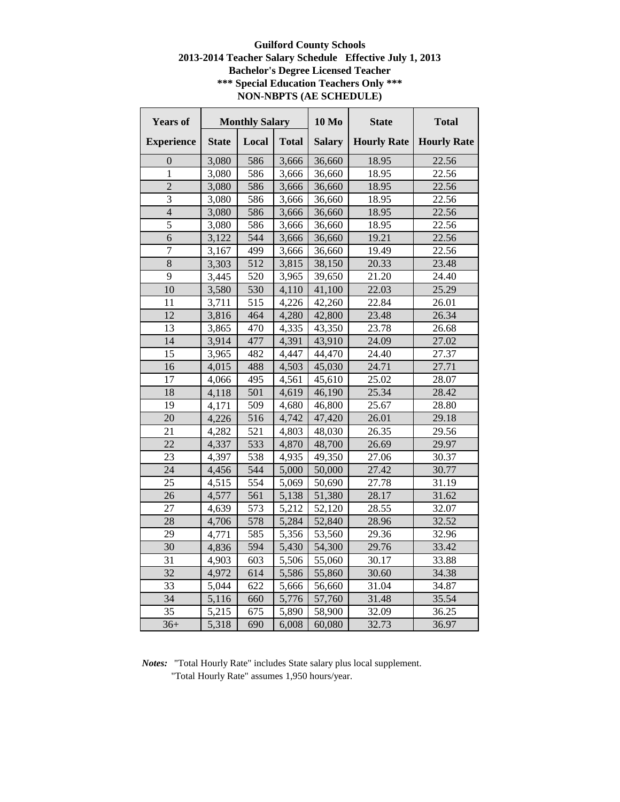### **Guilford County Schools 2013-2014 Teacher Salary Schedule Effective July 1, 2013 Bachelor's Degree Licensed Teacher \*\*\* Special Education Teachers Only \*\*\* NON-NBPTS (AE SCHEDULE)**

| <b>Years of</b>   | <b>Monthly Salary</b> |       | <b>10 Mo</b> | <b>State</b>  | <b>Total</b>       |                    |
|-------------------|-----------------------|-------|--------------|---------------|--------------------|--------------------|
| <b>Experience</b> | <b>State</b>          | Local | <b>Total</b> | <b>Salary</b> | <b>Hourly Rate</b> | <b>Hourly Rate</b> |
| 0                 | 3,080                 | 586   | 3,666        | 36,660        | 18.95              | 22.56              |
| 1                 | 3,080                 | 586   | 3,666        | 36,660        | 18.95              | 22.56              |
| $\overline{2}$    | 3,080                 | 586   | 3,666        | 36,660        | 18.95              | 22.56              |
| $\overline{3}$    | 3,080                 | 586   | 3,666        | 36,660        | 18.95              | 22.56              |
| $\overline{4}$    | 3,080                 | 586   | 3,666        | 36,660        | 18.95              | 22.56              |
| 5                 | 3,080                 | 586   | 3,666        | 36,660        | 18.95              | 22.56              |
| 6                 | 3,122                 | 544   | 3,666        | 36,660        | 19.21              | 22.56              |
| $\overline{7}$    | 3,167                 | 499   | 3,666        | 36,660        | 19.49              | 22.56              |
| 8                 | 3,303                 | 512   | 3,815        | 38,150        | 20.33              | 23.48              |
| 9                 | 3,445                 | 520   | 3,965        | 39,650        | 21.20              | 24.40              |
| 10                | 3,580                 | 530   | 4,110        | 41,100        | 22.03              | 25.29              |
| 11                | 3,711                 | 515   | 4,226        | 42,260        | 22.84              | 26.01              |
| 12                | 3,816                 | 464   | 4,280        | 42,800        | 23.48              | 26.34              |
| 13                | 3,865                 | 470   | 4,335        | 43,350        | 23.78              | 26.68              |
| 14                | 3,914                 | 477   | 4,391        | 43,910        | 24.09              | 27.02              |
| 15                | 3,965                 | 482   | 4,447        | 44,470        | 24.40              | 27.37              |
| 16                | 4,015                 | 488   | 4,503        | 45,030        | 24.71              | 27.71              |
| 17                | 4,066                 | 495   | 4,561        | 45,610        | 25.02              | 28.07              |
| 18                | 4,118                 | 501   | 4,619        | 46,190        | 25.34              | 28.42              |
| 19                | 4,171                 | 509   | 4,680        | 46,800        | 25.67              | 28.80              |
| 20                | 4,226                 | 516   | 4,742        | 47,420        | 26.01              | 29.18              |
| 21                | 4,282                 | 521   | 4,803        | 48,030        | 26.35              | 29.56              |
| 22                | 4,337                 | 533   | 4,870        | 48,700        | 26.69              | 29.97              |
| 23                | 4,397                 | 538   | 4,935        | 49,350        | 27.06              | 30.37              |
| 24                | 4,456                 | 544   | 5,000        | 50,000        | 27.42              | 30.77              |
| 25                | 4,515                 | 554   | 5,069        | 50,690        | 27.78              | 31.19              |
| 26                | 4,577                 | 561   | 5,138        | 51,380        | 28.17              | 31.62              |
| 27                | 4,639                 | 573   | 5,212        | 52,120        | 28.55              | 32.07              |
| 28                | 4,706                 | 578   | 5,284        | 52,840        | 28.96              | 32.52              |
| 29                | 4,771                 | 585   | 5,356        | 53,560        | 29.36              | 32.96              |
| $\overline{30}$   | 4,836                 | 594   | 5,430        | 54,300        | 29.76              | 33.42              |
| 31                | 4,903                 | 603   | 5,506        | 55,060        | 30.17              | 33.88              |
| 32                | 4,972                 | 614   | 5,586        | 55,860        | 30.60              | 34.38              |
| 33                | 5,044                 | 622   | 5,666        | 56,660        | 31.04              | 34.87              |
| 34                | 5,116                 | 660   | 5,776        | 57,760        | 31.48              | 35.54              |
| 35                | 5,215                 | 675   | 5,890        | 58,900        | 32.09              | 36.25              |
| $36+$             | 5,318                 | 690   | 6,008        | 60,080        | 32.73              | 36.97              |

*Notes:* "Total Hourly Rate" includes State salary plus local supplement. "Total Hourly Rate" assumes 1,950 hours/year.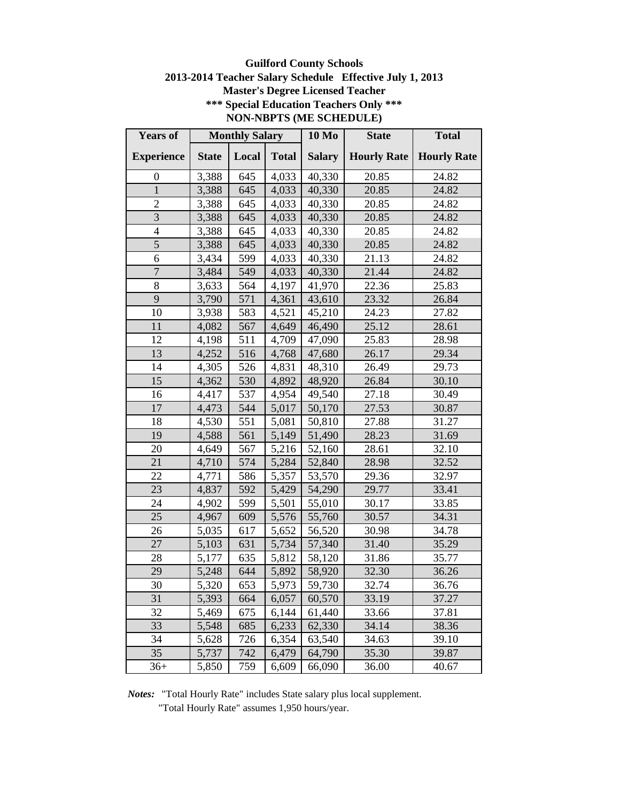# **Guilford County Schools 2013-2014 Teacher Salary Schedule Effective July 1, 2013 Master's Degree Licensed Teacher \*\*\* Special Education Teachers Only \*\*\* NON-NBPTS (ME SCHEDULE)**

| <b>Years of</b>   |              | <b>Monthly Salary</b> |              | <b>10 Mo</b>  | <b>State</b>       | <b>Total</b>       |
|-------------------|--------------|-----------------------|--------------|---------------|--------------------|--------------------|
| <b>Experience</b> | <b>State</b> | Local                 | <b>Total</b> | <b>Salary</b> | <b>Hourly Rate</b> | <b>Hourly Rate</b> |
| $\boldsymbol{0}$  | 3,388        | 645                   | 4,033        | 40,330        | 20.85              | 24.82              |
| $\mathbf{1}$      | 3,388        | 645                   | 4,033        | 40,330        | 20.85              | 24.82              |
| $\overline{2}$    | 3,388        | 645                   | 4,033        | 40,330        | 20.85              | 24.82              |
| 3                 | 3,388        | 645                   | 4,033        | 40,330        | 20.85              | 24.82              |
| $\overline{4}$    | 3,388        | 645                   | 4,033        | 40,330        | 20.85              | 24.82              |
| 5                 | 3,388        | 645                   | 4,033        | 40,330        | 20.85              | 24.82              |
| 6                 | 3,434        | 599                   | 4,033        | 40,330        | 21.13              | 24.82              |
| $\overline{7}$    | 3,484        | 549                   | 4,033        | 40,330        | 21.44              | 24.82              |
| 8                 | 3,633        | 564                   | 4,197        | 41,970        | 22.36              | 25.83              |
| 9                 | 3,790        | 571                   | 4,361        | 43,610        | 23.32              | 26.84              |
| 10                | 3,938        | 583                   | 4,521        | 45,210        | 24.23              | 27.82              |
| 11                | 4,082        | 567                   | 4,649        | 46,490        | 25.12              | 28.61              |
| 12                | 4,198        | 511                   | 4,709        | 47,090        | 25.83              | 28.98              |
| 13                | 4,252        | 516                   | 4,768        | 47,680        | 26.17              | 29.34              |
| 14                | 4,305        | 526                   | 4,831        | 48,310        | 26.49              | 29.73              |
| 15                | 4,362        | 530                   | 4,892        | 48,920        | 26.84              | 30.10              |
| 16                | 4,417        | 537                   | 4,954        | 49,540        | 27.18              | 30.49              |
| 17                | 4,473        | 544                   | 5,017        | 50,170        | 27.53              | 30.87              |
| 18                | 4,530        | 551                   | 5,081        | 50,810        | 27.88              | 31.27              |
| 19                | 4,588        | 561                   | 5,149        | 51,490        | 28.23              | 31.69              |
| 20                | 4,649        | 567                   | 5,216        | 52,160        | 28.61              | 32.10              |
| 21                | 4,710        | 574                   | 5,284        | 52,840        | 28.98              | 32.52              |
| 22                | 4,771        | 586                   | 5,357        | 53,570        | 29.36              | 32.97              |
| 23                | 4,837        | 592                   | 5,429        | 54,290        | 29.77              | 33.41              |
| 24                | 4,902        | 599                   | 5,501        | 55,010        | 30.17              | 33.85              |
| 25                | 4,967        | 609                   | 5,576        | 55,760        | 30.57              | 34.31              |
| 26                | 5,035        | 617                   | 5,652        | 56,520        | 30.98              | 34.78              |
| 27                | 5,103        | 631                   | 5,734        | 57,340        | 31.40              | 35.29              |
| 28                | 5,177        | 635                   | 5,812        | 58,120        | 31.86              | 35.77              |
| 29                | 5,248        | 644                   | 5,892        | 58,920        | 32.30              | 36.26              |
| 30                | 5,320        | 653                   | 5,973        | 59,730        | 32.74              | 36.76              |
| 31                | 5,393        | 664                   | 6,057        | 60,570        | 33.19              | 37.27              |
| 32                | 5,469        | 675                   | 6,144        | 61,440        | 33.66              | 37.81              |
| 33                | 5,548        | 685                   | 6,233        | 62,330        | 34.14              | 38.36              |
| 34                | 5,628        | 726                   | 6,354        | 63,540        | 34.63              | 39.10              |
| 35                | 5,737        | 742                   | 6,479        | 64,790        | 35.30              | 39.87              |
| $36+$             | 5,850        | 759                   | 6,609        | 66,090        | 36.00              | 40.67              |

*Notes:* "Total Hourly Rate" includes State salary plus local supplement.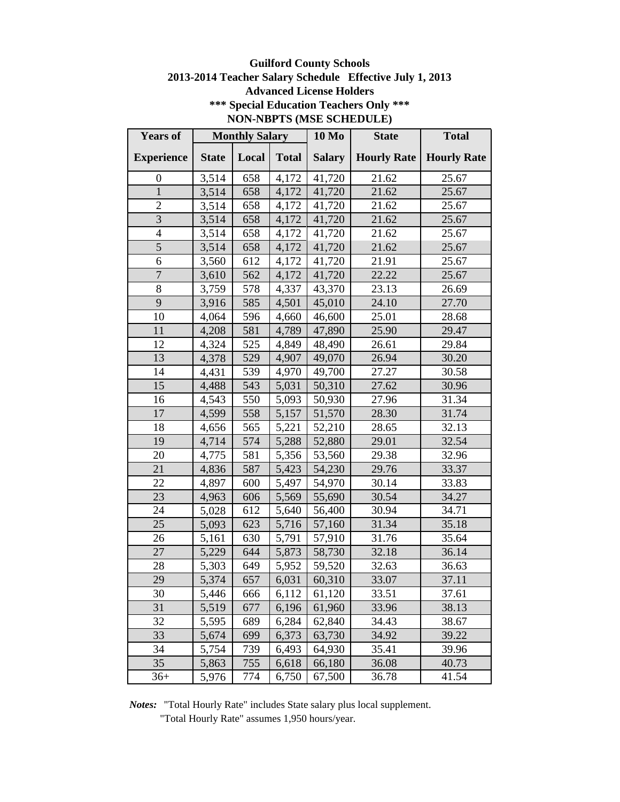# **Guilford County Schools 2013-2014 Teacher Salary Schedule Effective July 1, 2013 Advanced License Holders \*\*\* Special Education Teachers Only \*\*\* NON-NBPTS (MSE SCHEDULE)**

| <b>Years of</b>          |              | <b>Monthly Salary</b> |              | <b>10 Mo</b>  | <b>State</b>       | <b>Total</b>       |
|--------------------------|--------------|-----------------------|--------------|---------------|--------------------|--------------------|
| <b>Experience</b>        | <b>State</b> | Local                 | <b>Total</b> | <b>Salary</b> | <b>Hourly Rate</b> | <b>Hourly Rate</b> |
| $\boldsymbol{0}$         | 3,514        | 658                   | 4,172        | 41,720        | 21.62              | 25.67              |
| $\mathbf{1}$             | 3,514        | 658                   | 4,172        | 41,720        | 21.62              | 25.67              |
| $\overline{2}$           | 3,514        | 658                   | 4,172        | 41,720        | 21.62              | 25.67              |
| $\overline{3}$           | 3,514        | 658                   | 4,172        | 41,720        | 21.62              | 25.67              |
| $\overline{\mathcal{L}}$ | 3,514        | 658                   | 4,172        | 41,720        | 21.62              | 25.67              |
| 5                        | 3,514        | 658                   | 4,172        | 41,720        | 21.62              | 25.67              |
| 6                        | 3,560        | 612                   | 4,172        | 41,720        | 21.91              | 25.67              |
| $\overline{7}$           | 3,610        | 562                   | 4,172        | 41,720        | 22.22              | 25.67              |
| $\,8\,$                  | 3,759        | 578                   | 4,337        | 43,370        | 23.13              | 26.69              |
| 9                        | 3,916        | 585                   | 4,501        | 45,010        | 24.10              | 27.70              |
| 10                       | 4,064        | 596                   | 4,660        | 46,600        | 25.01              | 28.68              |
| 11                       | 4,208        | 581                   | 4,789        | 47,890        | 25.90              | 29.47              |
| 12                       | 4,324        | 525                   | 4,849        | 48,490        | 26.61              | 29.84              |
| 13                       | 4,378        | 529                   | 4,907        | 49,070        | 26.94              | 30.20              |
| 14                       | 4,431        | 539                   | 4,970        | 49,700        | 27.27              | 30.58              |
| 15                       | 4,488        | 543                   | 5,031        | 50,310        | 27.62              | 30.96              |
| 16                       | 4,543        | 550                   | 5,093        | 50,930        | 27.96              | 31.34              |
| 17                       | 4,599        | 558                   | 5,157        | 51,570        | 28.30              | 31.74              |
| 18                       | 4,656        | 565                   | 5,221        | 52,210        | 28.65              | 32.13              |
| 19                       | 4,714        | 574                   | 5,288        | 52,880        | 29.01              | 32.54              |
| 20                       | 4,775        | 581                   | 5,356        | 53,560        | 29.38              | 32.96              |
| 21                       | 4,836        | 587                   | 5,423        | 54,230        | 29.76              | 33.37              |
| 22                       | 4,897        | 600                   | 5,497        | 54,970        | 30.14              | 33.83              |
| 23                       | 4,963        | 606                   | 5,569        | 55,690        | 30.54              | 34.27              |
| 24                       | 5,028        | 612                   | 5,640        | 56,400        | 30.94              | 34.71              |
| 25                       | 5,093        | 623                   | 5,716        | 57,160        | 31.34              | 35.18              |
| 26                       | 5,161        | 630                   | 5,791        | 57,910        | 31.76              | 35.64              |
| 27                       | 5,229        | 644                   | 5,873        | 58,730        | 32.18              | 36.14              |
| 28                       | 5,303        | 649                   | 5,952        | 59,520        | 32.63              | 36.63              |
| 29                       | 5,374        | 657                   | 6,031        | 60,310        | 33.07              | 37.11              |
| 30                       | 5,446        | 666                   | 6,112        | 61,120        | 33.51              | 37.61              |
| 31                       | 5,519        | 677                   | 6,196        | 61,960        | 33.96              | 38.13              |
| 32                       | 5,595        | 689                   | 6,284        | 62,840        | 34.43              | 38.67              |
| 33                       | 5,674        | 699                   | 6,373        | 63,730        | 34.92              | 39.22              |
| 34                       | 5,754        | 739                   | 6,493        | 64,930        | 35.41              | 39.96              |
| 35                       | 5,863        | 755                   | 6,618        | 66,180        | 36.08              | 40.73              |
| $36+$                    | 5,976        | 774                   | 6,750        | 67,500        | 36.78              | 41.54              |

*Notes:* "Total Hourly Rate" includes State salary plus local supplement. "Total Hourly Rate" assumes 1,950 hours/year.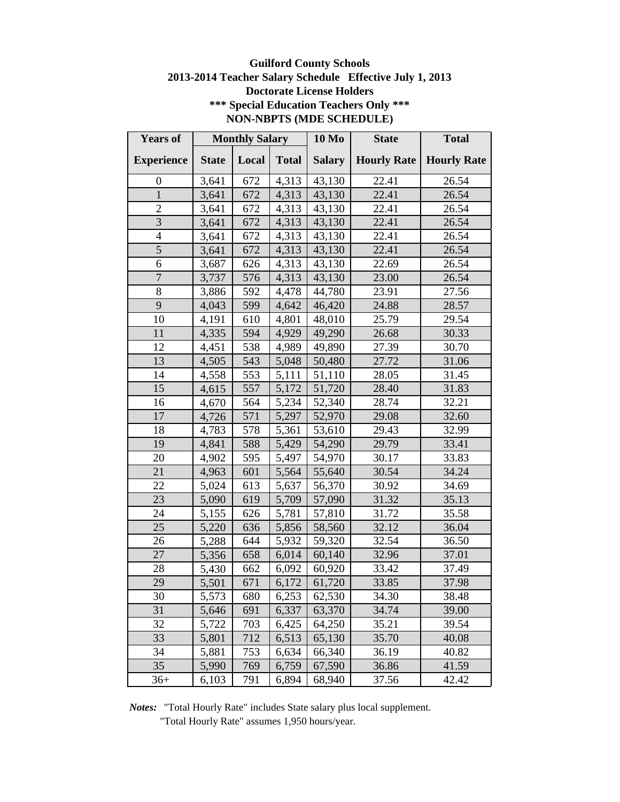# **Guilford County Schools 2013-2014 Teacher Salary Schedule Effective July 1, 2013 Doctorate License Holders \*\*\* Special Education Teachers Only \*\*\* NON-NBPTS (MDE SCHEDULE)**

| <b>Years of</b>   |              | <b>Monthly Salary</b> |              | <b>10 Mo</b>  | <b>State</b>       | <b>Total</b>       |
|-------------------|--------------|-----------------------|--------------|---------------|--------------------|--------------------|
| <b>Experience</b> | <b>State</b> | Local                 | <b>Total</b> | <b>Salary</b> | <b>Hourly Rate</b> | <b>Hourly Rate</b> |
| 0                 | 3,641        | 672                   | 4,313        | 43,130        | 22.41              | 26.54              |
| $\mathbf{1}$      | 3,641        | 672                   | 4,313        | 43,130        | 22.41              | 26.54              |
| $\overline{2}$    | 3,641        | 672                   | 4,313        | 43,130        | 22.41              | 26.54              |
| $\overline{3}$    | 3,641        | 672                   | 4,313        | 43,130        | 22.41              | 26.54              |
| $\overline{4}$    | 3,641        | 672                   | 4,313        | 43,130        | 22.41              | 26.54              |
| 5                 | 3,641        | 672                   | 4,313        | 43,130        | 22.41              | 26.54              |
| 6                 | 3,687        | 626                   | 4,313        | 43,130        | 22.69              | 26.54              |
| $\overline{7}$    | 3,737        | 576                   | 4,313        | 43,130        | 23.00              | 26.54              |
| 8                 | 3,886        | 592                   | 4,478        | 44,780        | 23.91              | 27.56              |
| 9                 | 4,043        | 599                   | 4,642        | 46,420        | 24.88              | 28.57              |
| 10                | 4,191        | 610                   | 4,801        | 48,010        | 25.79              | 29.54              |
| 11                | 4,335        | 594                   | 4,929        | 49,290        | 26.68              | 30.33              |
| 12                | 4,451        | 538                   | 4,989        | 49,890        | 27.39              | 30.70              |
| 13                | 4,505        | 543                   | 5,048        | 50,480        | 27.72              | 31.06              |
| 14                | 4,558        | 553                   | 5,111        | 51,110        | 28.05              | 31.45              |
| 15                | 4,615        | 557                   | 5,172        | 51,720        | 28.40              | 31.83              |
| 16                | 4,670        | 564                   | 5,234        | 52,340        | 28.74              | 32.21              |
| 17                | 4,726        | 571                   | 5,297        | 52,970        | 29.08              | 32.60              |
| 18                | 4,783        | 578                   | 5,361        | 53,610        | 29.43              | 32.99              |
| 19                | 4,841        | 588                   | 5,429        | 54,290        | 29.79              | 33.41              |
| 20                | 4,902        | 595                   | 5,497        | 54,970        | 30.17              | 33.83              |
| 21                | 4,963        | 601                   | 5,564        | 55,640        | 30.54              | 34.24              |
| 22                | 5,024        | 613                   | 5,637        | 56,370        | 30.92              | 34.69              |
| 23                | 5,090        | 619                   | 5,709        | 57,090        | 31.32              | 35.13              |
| 24                | 5,155        | 626                   | 5,781        | 57,810        | 31.72              | 35.58              |
| 25                | 5,220        | 636                   | 5,856        | 58,560        | 32.12              | 36.04              |
| 26                | 5,288        | 644                   | 5,932        | 59,320        | 32.54              | 36.50              |
| 27                | 5,356        | 658                   | 6,014        | 60,140        | 32.96              | 37.01              |
| 28                | 5,430        | 662                   | 6,092        | 60,920        | 33.42              | 37.49              |
| 29                | 5,501        | 671                   | 6,172        | 61,720        | 33.85              | 37.98              |
| 30                | 5,573        | 680                   | 6,253        | 62,530        | 34.30              | 38.48              |
| 31                | 5,646        | 691                   | 6,337        | 63,370        | 34.74              | 39.00              |
| 32                | 5,722        | 703                   | 6,425        | 64,250        | 35.21              | 39.54              |
| 33                | 5,801        | 712                   | 6,513        | 65,130        | 35.70              | 40.08              |
| 34                | 5,881        | 753                   | 6,634        | 66,340        | 36.19              | 40.82              |
| 35                | 5,990        | 769                   | 6,759        | 67,590        | 36.86              | 41.59              |
| $36+$             | 6,103        | 791                   | 6,894        | 68,940        | 37.56              | 42.42              |

*Notes:* "Total Hourly Rate" includes State salary plus local supplement.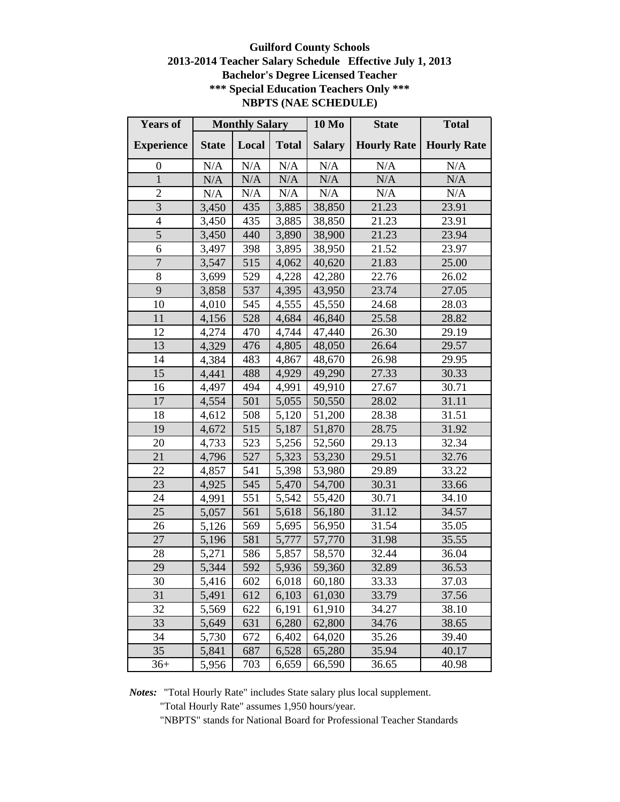# **Guilford County Schools 2013-2014 Teacher Salary Schedule Effective July 1, 2013 Bachelor's Degree Licensed Teacher \*\*\* Special Education Teachers Only \*\*\* NBPTS (NAE SCHEDULE)**

| <b>Years of</b>   | <b>Monthly Salary</b> |       | <b>10 Mo</b> | <b>State</b>  | <b>Total</b>       |                    |
|-------------------|-----------------------|-------|--------------|---------------|--------------------|--------------------|
| <b>Experience</b> | <b>State</b>          | Local | <b>Total</b> | <b>Salary</b> | <b>Hourly Rate</b> | <b>Hourly Rate</b> |
| $\boldsymbol{0}$  | N/A                   | N/A   | N/A          | N/A           | N/A                | N/A                |
| $\mathbf{1}$      | N/A                   | N/A   | N/A          | N/A           | N/A                | N/A                |
| $\overline{2}$    | N/A                   | N/A   | N/A          | N/A           | N/A                | N/A                |
| 3                 | 3,450                 | 435   | 3,885        | 38,850        | 21.23              | 23.91              |
| $\overline{4}$    | 3,450                 | 435   | 3,885        | 38,850        | 21.23              | 23.91              |
| 5                 | 3,450                 | 440   | 3,890        | 38,900        | 21.23              | 23.94              |
| 6                 | 3,497                 | 398   | 3,895        | 38,950        | 21.52              | 23.97              |
| $\overline{7}$    | 3,547                 | 515   | 4,062        | 40,620        | 21.83              | 25.00              |
| 8                 | 3,699                 | 529   | 4,228        | 42,280        | 22.76              | 26.02              |
| 9                 | 3,858                 | 537   | 4,395        | 43,950        | 23.74              | 27.05              |
| 10                | 4,010                 | 545   | 4,555        | 45,550        | 24.68              | 28.03              |
| 11                | 4,156                 | 528   | 4,684        | 46,840        | 25.58              | 28.82              |
| 12                | 4,274                 | 470   | 4,744        | 47,440        | 26.30              | 29.19              |
| 13                | 4,329                 | 476   | 4,805        | 48,050        | 26.64              | 29.57              |
| 14                | 4,384                 | 483   | 4,867        | 48,670        | 26.98              | 29.95              |
| 15                | 4,441                 | 488   | 4,929        | 49,290        | 27.33              | 30.33              |
| 16                | 4,497                 | 494   | 4,991        | 49,910        | 27.67              | 30.71              |
| 17                | 4,554                 | 501   | 5,055        | 50,550        | 28.02              | 31.11              |
| 18                | 4,612                 | 508   | 5,120        | 51,200        | 28.38              | 31.51              |
| 19                | 4,672                 | 515   | 5,187        | 51,870        | 28.75              | 31.92              |
| 20                | 4,733                 | 523   | 5,256        | 52,560        | 29.13              | 32.34              |
| 21                | 4,796                 | 527   | 5,323        | 53,230        | 29.51              | 32.76              |
| 22                | 4,857                 | 541   | 5,398        | 53,980        | 29.89              | 33.22              |
| 23                | 4,925                 | 545   | 5,470        | 54,700        | 30.31              | 33.66              |
| 24                | 4,991                 | 551   | 5,542        | 55,420        | 30.71              | 34.10              |
| 25                | 5,057                 | 561   | 5,618        | 56,180        | 31.12              | 34.57              |
| 26                | 5,126                 | 569   | 5,695        | 56,950        | 31.54              | 35.05              |
| 27                | 5,196                 | 581   | 5,777        | 57,770        | 31.98              | 35.55              |
| 28                | 5,271                 | 586   | 5,857        | 58,570        | 32.44              | 36.04              |
| 29                | 5,344                 | 592   | 5,936        | 59,360        | 32.89              | 36.53              |
| 30                | 5,416                 | 602   | 6,018        | 60,180        | 33.33              | 37.03              |
| 31                | 5,491                 | 612   | 6,103        | 61,030        | 33.79              | 37.56              |
| 32                | 5,569                 | 622   | 6,191        | 61,910        | 34.27              | 38.10              |
| 33                | 5,649                 | 631   | 6,280        | 62,800        | 34.76              | 38.65              |
| 34                | 5,730                 | 672   | 6,402        | 64,020        | 35.26              | 39.40              |
| 35                | 5,841                 | 687   | 6,528        | 65,280        | 35.94              | 40.17              |
| $36+$             | 5,956                 | 703   | 6,659        | 66,590        | 36.65              | 40.98              |

*Notes:* "Total Hourly Rate" includes State salary plus local supplement.

"Total Hourly Rate" assumes 1,950 hours/year.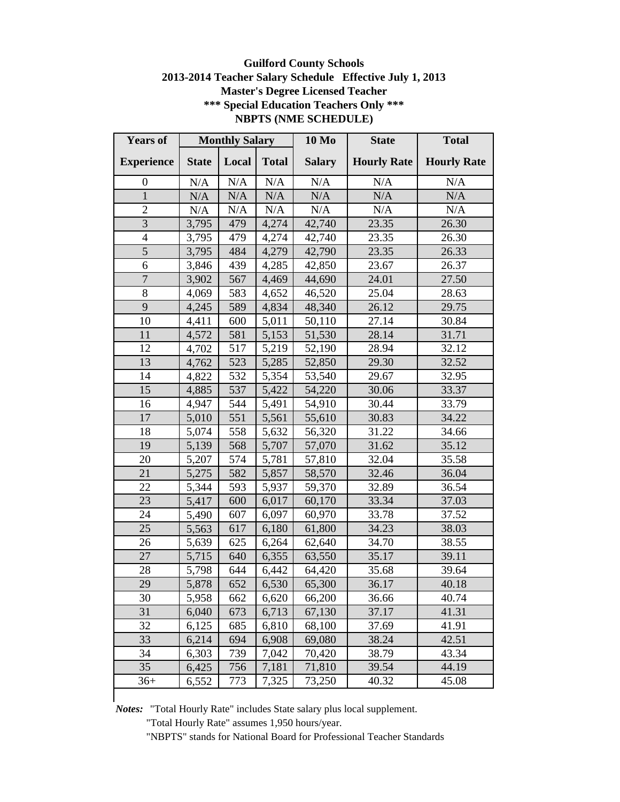# **Guilford County Schools 2013-2014 Teacher Salary Schedule Effective July 1, 2013 Master's Degree Licensed Teacher \*\*\* Special Education Teachers Only \*\*\* NBPTS (NME SCHEDULE)**

| <b>Years of</b>          | <b>Monthly Salary</b> |           | <b>10 Mo</b> | <b>State</b>  | <b>Total</b>       |                    |
|--------------------------|-----------------------|-----------|--------------|---------------|--------------------|--------------------|
| <b>Experience</b>        | <b>State</b>          | Local     | <b>Total</b> | <b>Salary</b> | <b>Hourly Rate</b> | <b>Hourly Rate</b> |
| 0                        | $\rm N/A$             | $\rm N/A$ | N/A          | N/A           | N/A                | N/A                |
| $\mathbf{1}$             | N/A                   | N/A       | N/A          | N/A           | N/A                | N/A                |
| $\overline{2}$           | N/A                   | N/A       | N/A          | N/A           | N/A                | N/A                |
| $\overline{3}$           | 3,795                 | 479       | 4,274        | 42,740        | 23.35              | 26.30              |
| $\overline{\mathcal{L}}$ | 3,795                 | 479       | 4,274        | 42,740        | 23.35              | 26.30              |
| $\overline{5}$           | 3,795                 | 484       | 4,279        | 42,790        | 23.35              | 26.33              |
| 6                        | 3,846                 | 439       | 4,285        | 42,850        | 23.67              | 26.37              |
| $\overline{7}$           | 3,902                 | 567       | 4,469        | 44,690        | 24.01              | 27.50              |
| 8                        | 4,069                 | 583       | 4,652        | 46,520        | 25.04              | 28.63              |
| 9                        | 4,245                 | 589       | 4,834        | 48,340        | 26.12              | 29.75              |
| 10                       | 4,411                 | 600       | 5,011        | 50,110        | 27.14              | 30.84              |
| 11                       | 4,572                 | 581       | 5,153        | 51,530        | 28.14              | 31.71              |
| 12                       | 4,702                 | 517       | 5,219        | 52,190        | 28.94              | 32.12              |
| 13                       | 4,762                 | 523       | 5,285        | 52,850        | 29.30              | 32.52              |
| 14                       | 4,822                 | 532       | 5,354        | 53,540        | 29.67              | 32.95              |
| 15                       | 4,885                 | 537       | 5,422        | 54,220        | 30.06              | 33.37              |
| 16                       | 4,947                 | 544       | 5,491        | 54,910        | 30.44              | 33.79              |
| 17                       | 5,010                 | 551       | 5,561        | 55,610        | 30.83              | 34.22              |
| 18                       | 5,074                 | 558       | 5,632        | 56,320        | 31.22              | 34.66              |
| 19                       | 5,139                 | 568       | 5,707        | 57,070        | 31.62              | 35.12              |
| 20                       | 5,207                 | 574       | 5,781        | 57,810        | 32.04              | 35.58              |
| 21                       | 5,275                 | 582       | 5,857        | 58,570        | 32.46              | 36.04              |
| 22                       | 5,344                 | 593       | 5,937        | 59,370        | 32.89              | 36.54              |
| 23                       | 5,417                 | 600       | 6,017        | 60,170        | 33.34              | 37.03              |
| 24                       | 5,490                 | 607       | 6,097        | 60,970        | 33.78              | 37.52              |
| 25                       | 5,563                 | 617       | 6,180        | 61,800        | 34.23              | 38.03              |
| 26                       | 5,639                 | 625       | 6,264        | 62,640        | 34.70              | 38.55              |
| 27                       | 5,715                 | 640       | 6,355        | 63,550        | 35.17              | 39.11              |
| 28                       | 5,798                 | 644       | 6,442        | 64,420        | 35.68              | 39.64              |
| 29                       | 5,878                 | 652       | 6,530        | 65,300        | 36.17              | 40.18              |
| 30                       | 5,958                 | 662       | 6,620        | 66,200        | 36.66              | 40.74              |
| 31                       | 6,040                 | 673       | 6,713        | 67,130        | 37.17              | 41.31              |
| 32                       | 6,125                 | 685       | 6,810        | 68,100        | 37.69              | 41.91              |
| 33                       | 6,214                 | 694       | 6,908        | 69,080        | 38.24              | 42.51              |
| 34                       | 6,303                 | 739       | 7,042        | 70,420        | 38.79              | 43.34              |
| 35                       | 6,425                 | 756       | 7,181        | 71,810        | 39.54              | 44.19              |
| $36+$                    | 6,552                 | 773       | 7,325        | 73,250        | 40.32              | 45.08              |
|                          |                       |           |              |               |                    |                    |

*Notes:* "Total Hourly Rate" includes State salary plus local supplement.

"Total Hourly Rate" assumes 1,950 hours/year.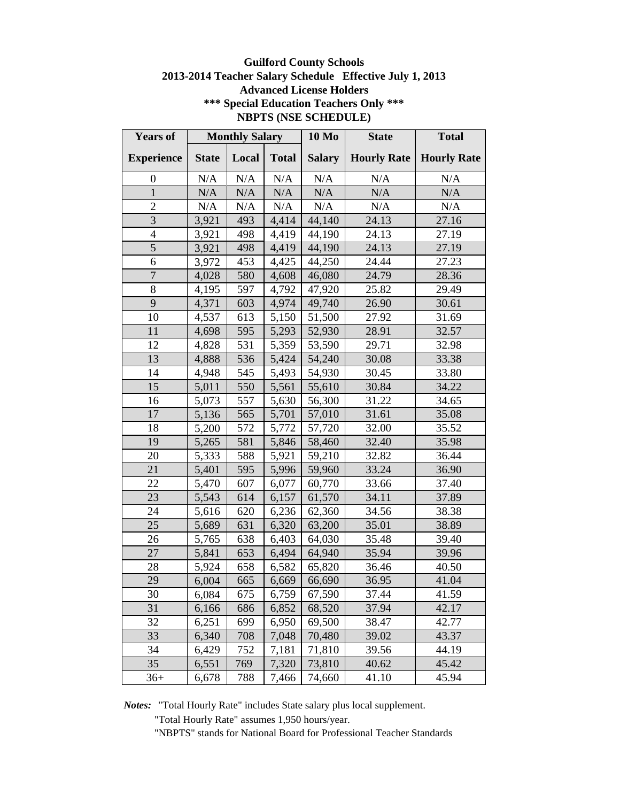# **Guilford County Schools 2013-2014 Teacher Salary Schedule Effective July 1, 2013 Advanced License Holders \*\*\* Special Education Teachers Only \*\*\* NBPTS (NSE SCHEDULE)**

| <b>Years of</b>   | <b>Monthly Salary</b> |       | <b>10 Mo</b> | <b>State</b>  | <b>Total</b>       |                    |
|-------------------|-----------------------|-------|--------------|---------------|--------------------|--------------------|
| <b>Experience</b> | <b>State</b>          | Local | <b>Total</b> | <b>Salary</b> | <b>Hourly Rate</b> | <b>Hourly Rate</b> |
| $\boldsymbol{0}$  | N/A                   | N/A   | N/A          | N/A           | N/A                | N/A                |
| 1                 | N/A                   | N/A   | N/A          | N/A           | N/A                | N/A                |
| $\overline{2}$    | N/A                   | N/A   | $\rm N/A$    | $\rm N/A$     | N/A                | N/A                |
| $\overline{3}$    | 3,921                 | 493   | 4,414        | 44,140        | 24.13              | 27.16              |
| $\overline{4}$    | 3,921                 | 498   | 4,419        | 44,190        | 24.13              | 27.19              |
| $\overline{5}$    | 3,921                 | 498   | 4,419        | 44,190        | 24.13              | 27.19              |
| 6                 | 3,972                 | 453   | 4,425        | 44,250        | 24.44              | 27.23              |
| $\overline{7}$    | 4,028                 | 580   | 4,608        | 46,080        | 24.79              | 28.36              |
| 8                 | 4,195                 | 597   | 4,792        | 47,920        | 25.82              | 29.49              |
| 9                 | 4,371                 | 603   | 4,974        | 49,740        | 26.90              | 30.61              |
| 10                | 4,537                 | 613   | 5,150        | 51,500        | 27.92              | 31.69              |
| 11                | 4,698                 | 595   | 5,293        | 52,930        | 28.91              | 32.57              |
| 12                | 4,828                 | 531   | 5,359        | 53,590        | 29.71              | 32.98              |
| 13                | 4,888                 | 536   | 5,424        | 54,240        | 30.08              | 33.38              |
| 14                | 4,948                 | 545   | 5,493        | 54,930        | 30.45              | 33.80              |
| 15                | 5,011                 | 550   | 5,561        | 55,610        | 30.84              | 34.22              |
| 16                | 5,073                 | 557   | 5,630        | 56,300        | 31.22              | 34.65              |
| 17                | 5,136                 | 565   | 5,701        | 57,010        | 31.61              | 35.08              |
| 18                | 5,200                 | 572   | 5,772        | 57,720        | 32.00              | 35.52              |
| 19                | 5,265                 | 581   | 5,846        | 58,460        | 32.40              | 35.98              |
| 20                | 5,333                 | 588   | 5,921        | 59,210        | 32.82              | 36.44              |
| 21                | 5,401                 | 595   | 5,996        | 59,960        | 33.24              | 36.90              |
| 22                | 5,470                 | 607   | 6,077        | 60,770        | 33.66              | 37.40              |
| 23                | 5,543                 | 614   | 6,157        | 61,570        | 34.11              | 37.89              |
| 24                | 5,616                 | 620   | 6,236        | 62,360        | 34.56              | 38.38              |
| 25                | 5,689                 | 631   | 6,320        | 63,200        | 35.01              | 38.89              |
| 26                | 5,765                 | 638   | 6,403        | 64,030        | 35.48              | 39.40              |
| 27                | 5,841                 | 653   | 6,494        | 64,940        | 35.94              | 39.96              |
| 28                | 5,924                 | 658   | 6,582        | 65,820        | 36.46              | 40.50              |
| 29                | 6,004                 | 665   | 6,669        | 66,690        | 36.95              | 41.04              |
| 30                | 6,084                 | 675   | 6,759        | 67,590        | 37.44              | 41.59              |
| 31                | 6,166                 | 686   | 6,852        | 68,520        | 37.94              | 42.17              |
| 32                | 6,251                 | 699   | 6,950        | 69,500        | 38.47              | 42.77              |
| 33                | 6,340                 | 708   | 7,048        | 70,480        | 39.02              | 43.37              |
| 34                | 6,429                 | 752   | 7,181        | 71,810        | 39.56              | 44.19              |
| 35                | 6,551                 | 769   | 7,320        | 73,810        | 40.62              | 45.42              |
| $36+$             | 6,678                 | 788   | 7,466        | 74,660        | 41.10              | 45.94              |

*Notes:* "Total Hourly Rate" includes State salary plus local supplement.

"Total Hourly Rate" assumes 1,950 hours/year.